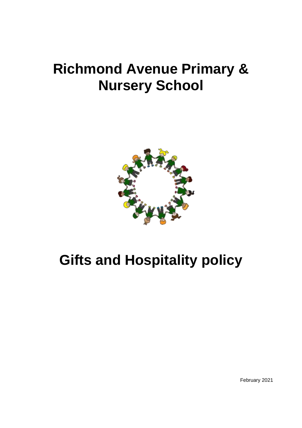# **Richmond Avenue Primary & Nursery School**



# **Gifts and Hospitality policy**

February 2021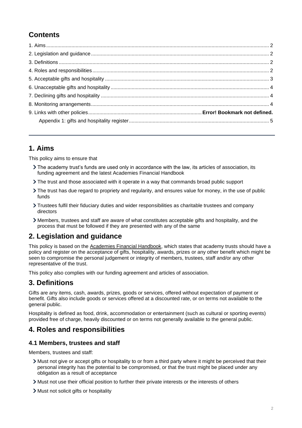# **Contents**

## <span id="page-1-0"></span>**1. Aims**

This policy aims to ensure that

- The academy trust's funds are used only in accordance with the law, its articles of association, its funding agreement and the latest Academies Financial Handbook
- The trust and those associated with it operate in a way that commands broad public support
- The trust has due regard to propriety and regularity, and ensures value for money, in the use of public funds
- Trustees fulfil their fiduciary duties and wider responsibilities as charitable trustees and company directors
- Members, trustees and staff are aware of what constitutes acceptable gifts and hospitality, and the process that must be followed if they are presented with any of the same

# <span id="page-1-1"></span>**2. Legislation and guidance**

This policy is based on the [Academies Financial Handbook,](https://www.gov.uk/guidance/academies-financial-handbook) which states that academy trusts should have a policy and register on the acceptance of gifts, hospitality, awards, prizes or any other benefit which might be seen to compromise the personal judgement or integrity of members, trustees, staff and/or any other representative of the trust.

This policy also complies with our funding agreement and articles of association.

## <span id="page-1-2"></span>**3. Definitions**

Gifts are any items, cash, awards, prizes, goods or services, offered without expectation of payment or benefit. Gifts also include goods or services offered at a discounted rate, or on terms not available to the general public.

Hospitality is defined as food, drink, accommodation or entertainment (such as cultural or sporting events) provided free of charge, heavily discounted or on terms not generally available to the general public.

## <span id="page-1-3"></span>**4. Roles and responsibilities**

#### **4.1 Members, trustees and staff**

Members, trustees and staff:

- Must not give or accept gifts or hospitality to or from a third party where it might be perceived that their personal integrity has the potential to be compromised, or that the trust might be placed under any obligation as a result of acceptance
- Must not use their official position to further their private interests or the interests of others
- > Must not solicit gifts or hospitality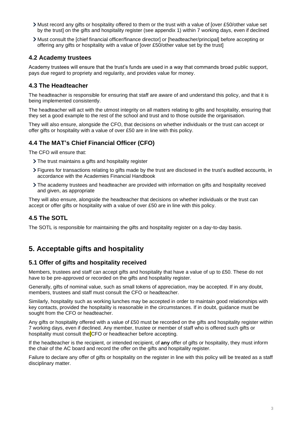- Must record any gifts or hospitality offered to them or the trust with a value of [over £50/other value set by the trust] on the gifts and hospitality register (see appendix 1) within 7 working days, even if declined
- Must consult the [chief financial officer/finance director] or [headteacher/principal] before accepting or offering any gifts or hospitality with a value of [over £50/other value set by the trust]

#### **4.2 Academy trustees**

Academy trustees will ensure that the trust's funds are used in a way that commands broad public support, pays due regard to propriety and regularity, and provides value for money.

#### **4.3 The Headteacher**

The headteacher is responsible for ensuring that staff are aware of and understand this policy, and that it is being implemented consistently.

The headteacher will act with the utmost integrity on all matters relating to gifts and hospitality, ensuring that they set a good example to the rest of the school and trust and to those outside the organisation.

They will also ensure, alongside the CFO, that decisions on whether individuals or the trust can accept or offer gifts or hospitality with a value of over £50 are in line with this policy.

#### **4.4 The MAT's Chief Financial Officer (CFO)**

The CFO will ensure that:

- > The trust maintains a gifts and hospitality register
- Figures for transactions relating to gifts made by the trust are disclosed in the trust's audited accounts, in accordance with the Academies Financial Handbook
- The academy trustees and headteacher are provided with information on gifts and hospitality received and given, as appropriate

They will also ensure, alongside the headteacher that decisions on whether individuals or the trust can accept or offer gifts or hospitality with a value of over £50 are in line with this policy.

#### **4.5 The SOTL**

<span id="page-2-0"></span>The SOTL is responsible for maintaining the gifts and hospitality register on a day-to-day basis.

## **5. Acceptable gifts and hospitality**

#### **5.1 Offer of gifts and hospitality received**

Members, trustees and staff can accept gifts and hospitality that have a value of up to £50. These do not have to be pre-approved or recorded on the gifts and hospitality register.

Generally, gifts of nominal value, such as small tokens of appreciation, may be accepted. If in any doubt, members, trustees and staff must consult the CFO or headteacher.

Similarly, hospitality such as working lunches may be accepted in order to maintain good relationships with key contacts, provided the hospitality is reasonable in the circumstances. If in doubt, guidance must be sought from the CFO or headteacher.

Any gifts or hospitality offered with a value of £50 must be recorded on the gifts and hospitality register within 7 working days, even if declined. Any member, trustee or member of staff who is offered such gifts or hospitality must consult the CFO or headteacher before accepting.

If the headteacher is the recipient, or intended recipient, of **any** offer of gifts or hospitality, they must inform the chair of the AC board and record the offer on the gifts and hospitality register.

Failure to declare any offer of gifts or hospitality on the register in line with this policy will be treated as a staff disciplinary matter.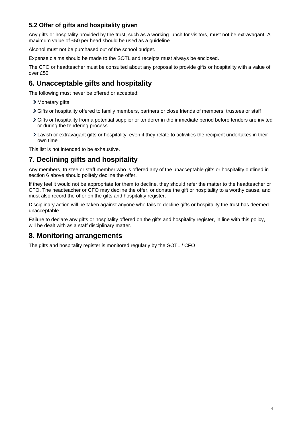### **5.2 Offer of gifts and hospitality given**

Any gifts or hospitality provided by the trust, such as a working lunch for visitors, must not be extravagant. A maximum value of £50 per head should be used as a guideline.

Alcohol must not be purchased out of the school budget.

Expense claims should be made to the SOTL and receipts must always be enclosed.

The CFO or headteacher must be consulted about any proposal to provide gifts or hospitality with a value of over £50.

# <span id="page-3-0"></span>**6. Unacceptable gifts and hospitality**

The following must never be offered or accepted:

- > Monetary gifts
- Gifts or hospitality offered to family members, partners or close friends of members, trustees or staff
- Gifts or hospitality from a potential supplier or tenderer in the immediate period before tenders are invited or during the tendering process
- Lavish or extravagant gifts or hospitality, even if they relate to activities the recipient undertakes in their own time

This list is not intended to be exhaustive.

# <span id="page-3-1"></span>**7. Declining gifts and hospitality**

Any members, trustee or staff member who is offered any of the unacceptable gifts or hospitality outlined in section 6 above should politely decline the offer.

If they feel it would not be appropriate for them to decline, they should refer the matter to the headteacher or CFO. The headteacher or CFO may decline the offer, or donate the gift or hospitality to a worthy cause, and must also record the offer on the gifts and hospitality register.

Disciplinary action will be taken against anyone who fails to decline gifts or hospitality the trust has deemed unacceptable.

Failure to declare any gifts or hospitality offered on the gifts and hospitality register, in line with this policy, will be dealt with as a staff disciplinary matter.

### <span id="page-3-2"></span>**8. Monitoring arrangements**

The gifts and hospitality register is monitored regularly by the SOTL / CFO